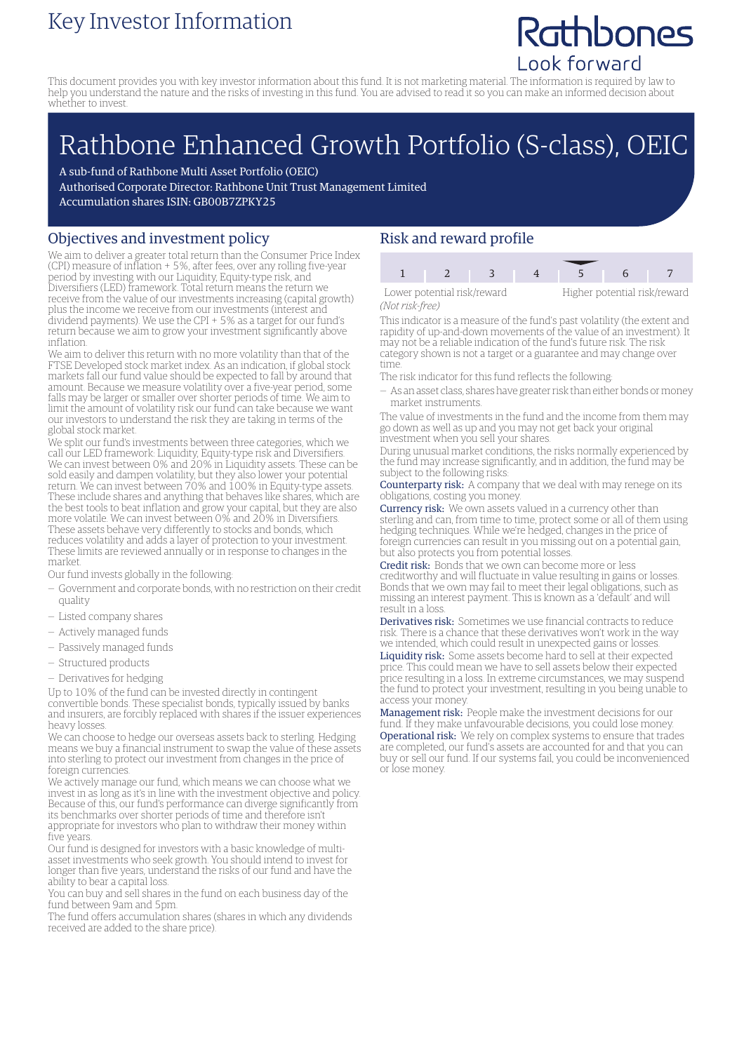### Key Investor Information

## Rathbones Look forward

This document provides you with key investor information about this fund. It is not marketing material. The information is required by law to help you understand the nature and the risks of investing in this fund. You are advised to read it so you can make an informed decision about whether to invest.

# Rathbone Enhanced Growth Portfolio (S-class), OEIC

A sub-fund of Rathbone Multi Asset Portfolio (OEIC) Authorised Corporate Director: Rathbone Unit Trust Management Limited Accumulation shares ISIN: GB00B7ZPKY25

#### Objectives and investment policy

We aim to deliver a greater total return than the Consumer Price Index (CPI) measure of inflation + 5%, after fees, over any rolling five-year period by investing with our Liquidity, Equity-type risk, and Diversifiers (LED) framework. Total return means the return we receive from the value of our investments increasing (capital growth) plus the income we receive from our investments (interest and dividend payments). We use the CPI + 5% as a target for our fund's return because we aim to grow your investment significantly above inflation.

We aim to deliver this return with no more volatility than that of the FTSE Developed stock market index. As an indication, if global stock markets fall our fund value should be expected to fall by around that amount. Because we measure volatility over a five-year period, some falls may be larger or smaller over shorter periods of time. We aim to limit the amount of volatility risk our fund can take because we want our investors to understand the risk they are taking in terms of the global stock market.

We split our fund's investments between three categories, which we call our LED framework: Liquidity, Equity-type risk and Diversifiers. We can invest between 0% and 20% in Liquidity assets. These can be sold easily and dampen volatility, but they also lower your potential return. We can invest between 70% and 100% in Equity-type assets. These include shares and anything that behaves like shares, which are the best tools to beat inflation and grow your capital, but they are also more volatile. We can invest between 0% and 20% in Diversifiers. These assets behave very differently to stocks and bonds, which reduces volatility and adds a layer of protection to your investment. These limits are reviewed annually or in response to changes in the market.

Our fund invests globally in the following:

- Government and corporate bonds, with no restriction on their credit quality
- Listed company shares
- Actively managed funds
- Passively managed funds
- Structured products
- Derivatives for hedging

Up to 10% of the fund can be invested directly in contingent convertible bonds. These specialist bonds, typically issued by banks and insurers, are forcibly replaced with shares if the issuer experiences heavy losses.

We can choose to hedge our overseas assets back to sterling. Hedging means we buy a financial instrument to swap the value of these assets into sterling to protect our investment from changes in the price of foreign currencies.

We actively manage our fund, which means we can choose what we invest in as long as it's in line with the investment objective and policy. Because of this, our fund's performance can diverge significantly from its benchmarks over shorter periods of time and therefore isn't appropriate for investors who plan to withdraw their money within five years.

Our fund is designed for investors with a basic knowledge of multiasset investments who seek growth. You should intend to invest for longer than five years, understand the risks of our fund and have the ability to bear a capital loss.

You can buy and sell shares in the fund on each business day of the fund between 9am and 5pm.

The fund offers accumulation shares (shares in which any dividends received are added to the share price).

#### Risk and reward profile

Lower potential risk/reward Higher potential risk/reward *(Not risk-free)*

1 2 3 4 5 6

This indicator is a measure of the fund's past volatility (the extent and rapidity of up-and-down movements of the value of an investment). It may not be a reliable indication of the fund's future risk. The risk category shown is not a target or a guarantee and may change over

time. The risk indicator for this fund reflects the following:

— As an asset class, shares have greater risk than either bonds ormoney market instruments.

The value of investments in the fund and the income from them may go down as well as up and you may not get back your original investment when you sell your shares.

During unusual market conditions, the risks normally experienced by the fund may increase significantly, and in addition, the fund may be subject to the following risks:

Counterparty risk: A company that we deal with may renege on its obligations, costing you money.

Currency risk: We own assets valued in a currency other than sterling and can, from time to time, protect some or all of them using hedging techniques. While we're hedged, changes in the price of foreign currencies can result in you missing out on a potential gain, but also protects you from potential losses.

Credit risk: Bonds that we own can become more or less creditworthy and will fluctuate in value resulting in gains or losses. Bonds that we own may fail to meet their legal obligations, such as missing an interest payment. This is known as a 'default' and will result in a loss.

Derivatives risk: Sometimes we use financial contracts to reduce risk. There is a chance that these derivatives won't work in the way we intended, which could result in unexpected gains or losses. Liquidity risk: Some assets become hard to sell at their expected price. This could mean we have to sell assets below their expected price resulting in a loss. In extreme circumstances, we may suspend the fund to protect your investment, resulting in you being unable to access your money.

Management risk: People make the investment decisions for our fund. If they make unfavourable decisions, you could lose money. Operational risk: We rely on complex systems to ensure that trades are completed, our fund's assets are accounted for and that you can buy or sell our fund. If our systems fail, you could be inconvenienced or lose money.